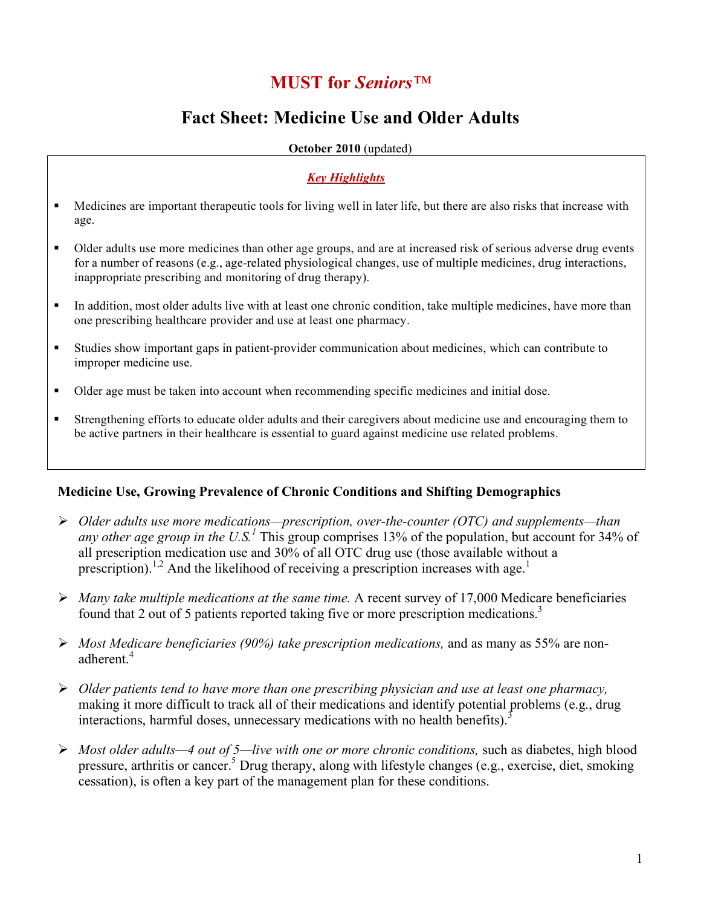# **MUST for** *Seniors™*

## **Fact Sheet: Medicine Use and Older Adults**

**October 2010** (updated)

### *Key Highlights*

- Medicines are important therapeutic tools for living well in later life, but there are also risks that increase with age.
- Older adults use more medicines than other age groups, and are at increased risk of serious adverse drug events for a number of reasons (e.g., age-related physiological changes, use of multiple medicines, drug interactions, inappropriate prescribing and monitoring of drug therapy).
- In addition, most older adults live with at least one chronic condition, take multiple medicines, have more than one prescribing healthcare provider and use at least one pharmacy.
- Studies show important gaps in patient-provider communication about medicines, which can contribute to improper medicine use.
- Older age must be taken into account when recommending specific medicines and initial dose.
- Strengthening efforts to educate older adults and their caregivers about medicine use and encouraging them to be active partners in their healthcare is essential to guard against medicine use related problems.

## **Medicine Use, Growing Prevalence of Chronic Conditions and Shifting Demographics**

- *Older adults use more medications—prescription, over-the-counter (OTC) and supplements—than any other age group in the U.S.*<sup> $1$ </sup> This group comprises 13% of the population, but account for 34% of all prescription medication use and 30% of all OTC drug use (those available without a prescription).<sup>1,2</sup> And the likelihood of receiving a prescription increases with age.<sup>1</sup>
- *Many take multiple medications at the same time.* A recent survey of 17,000 Medicare beneficiaries found that 2 out of 5 patients reported taking five or more prescription medications.<sup>3</sup>
- *Most Medicare beneficiaries (90%) take prescription medications,* and as many as 55% are nonadherent.<sup>4</sup>
- *Older patients tend to have more than one prescribing physician and use at least one pharmacy,*  making it more difficult to track all of their medications and identify potential problems (e.g., drug interactions, harmful doses, unnecessary medications with no health benefits).<sup>3</sup>
- *Most older adults—4 out of 5—live with one or more chronic conditions,* such as diabetes, high blood pressure, arthritis or cancer.<sup>5</sup> Drug therapy, along with lifestyle changes (e.g., exercise, diet, smoking cessation), is often a key part of the management plan for these conditions.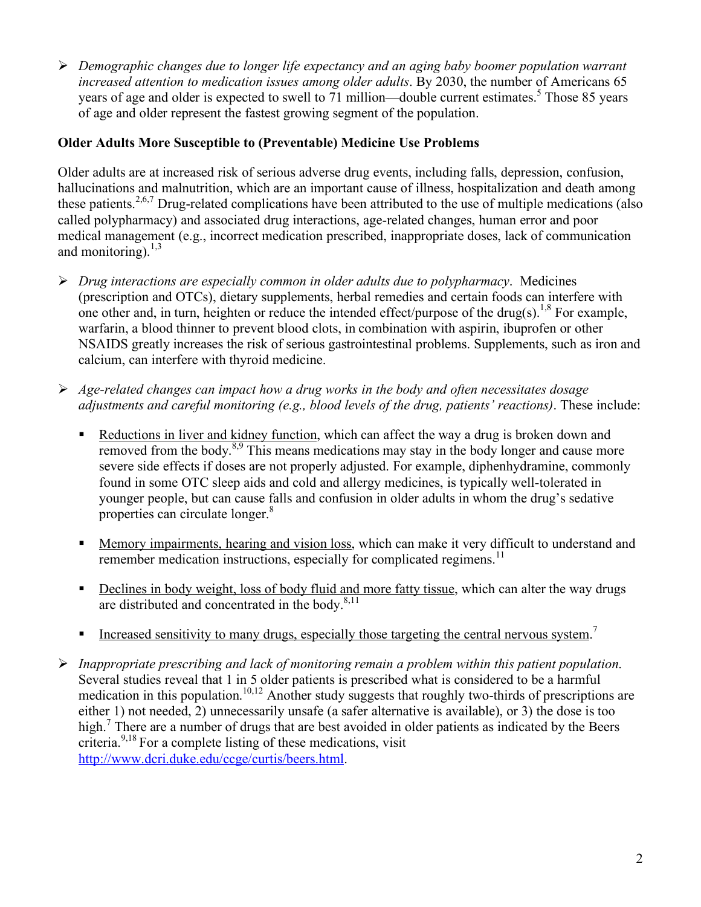*Demographic changes due to longer life expectancy and an aging baby boomer population warrant increased attention to medication issues among older adults*. By 2030, the number of Americans 65 years of age and older is expected to swell to 71 million—double current estimates.<sup>5</sup> Those 85 years of age and older represent the fastest growing segment of the population.

## **Older Adults More Susceptible to (Preventable) Medicine Use Problems**

Older adults are at increased risk of serious adverse drug events, including falls, depression, confusion, hallucinations and malnutrition, which are an important cause of illness, hospitalization and death among these patients.2,6,7 Drug-related complications have been attributed to the use of multiple medications (also called polypharmacy) and associated drug interactions, age-related changes, human error and poor medical management (e.g., incorrect medication prescribed, inappropriate doses, lack of communication and monitoring).  $^{1,3}$ 

- *Drug interactions are especially common in older adults due to polypharmacy*. Medicines (prescription and OTCs), dietary supplements, herbal remedies and certain foods can interfere with one other and, in turn, heighten or reduce the intended effect/purpose of the drug(s).<sup>1,8</sup> For example, warfarin, a blood thinner to prevent blood clots, in combination with aspirin, ibuprofen or other NSAIDS greatly increases the risk of serious gastrointestinal problems. Supplements, such as iron and calcium, can interfere with thyroid medicine.
- *Age-related changes can impact how a drug works in the body and often necessitates dosage adjustments and careful monitoring (e.g., blood levels of the drug, patients' reactions)*. These include:
	- Reductions in liver and kidney function, which can affect the way a drug is broken down and removed from the body.<sup>8,9</sup> This means medications may stay in the body longer and cause more severe side effects if doses are not properly adjusted. For example, diphenhydramine, commonly found in some OTC sleep aids and cold and allergy medicines, is typically well-tolerated in younger people, but can cause falls and confusion in older adults in whom the drug's sedative properties can circulate longer.<sup>8</sup>
	- **Memory impairments, hearing and vision loss, which can make it very difficult to understand and** remember medication instructions, especially for complicated regimens.<sup>11</sup>
	- Declines in body weight, loss of body fluid and more fatty tissue, which can alter the way drugs are distributed and concentrated in the body. $8,11$
	- Increased sensitivity to many drugs, especially those targeting the central nervous system.<sup>7</sup>
- *Inappropriate prescribing and lack of monitoring remain a problem within this patient population*. Several studies reveal that 1 in 5 older patients is prescribed what is considered to be a harmful medication in this population.<sup>10,12</sup> Another study suggests that roughly two-thirds of prescriptions are either 1) not needed, 2) unnecessarily unsafe (a safer alternative is available), or 3) the dose is too high.<sup>7</sup> There are a number of drugs that are best avoided in older patients as indicated by the Beers criteria. 9,18 For a complete listing of these medications, visit http://www.dcri.duke.edu/ccge/curtis/beers.html.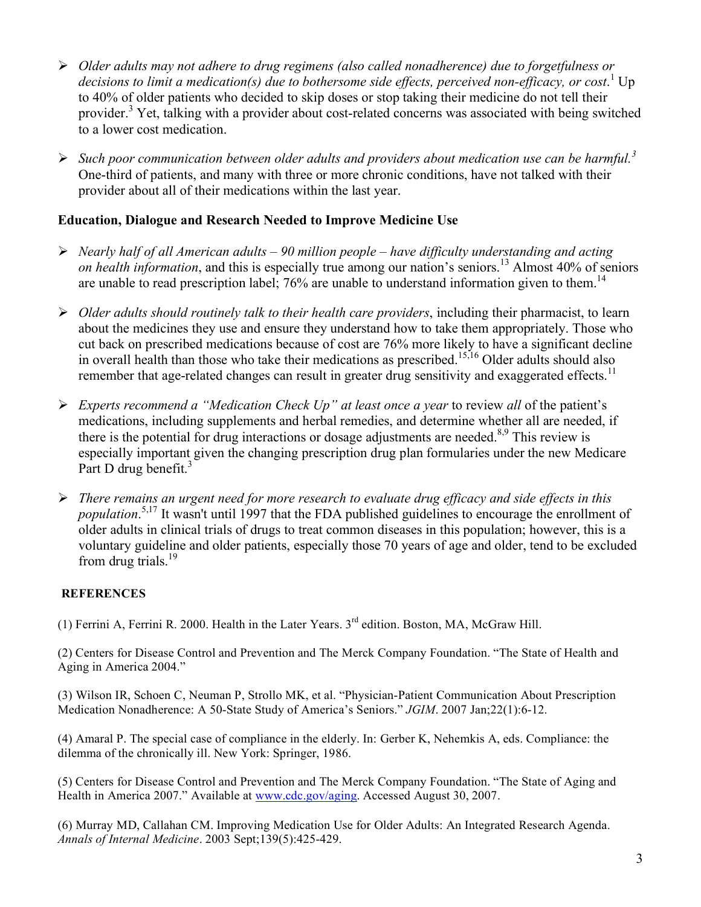- *Older adults may not adhere to drug regimens (also called nonadherence) due to forgetfulness or*  decisions to limit a medication(s) due to bothersome side effects, perceived non-efficacy, or cost.<sup>1</sup> Up to 40% of older patients who decided to skip doses or stop taking their medicine do not tell their provider.<sup>3</sup> Yet, talking with a provider about cost-related concerns was associated with being switched to a lower cost medication.
- *Such poor communication between older adults and providers about medication use can be harmful.<sup>3</sup>* One-third of patients, and many with three or more chronic conditions, have not talked with their provider about all of their medications within the last year.

## **Education, Dialogue and Research Needed to Improve Medicine Use**

- *Nearly half of all American adults 90 million people have difficulty understanding and acting on health information*, and this is especially true among our nation's seniors.<sup>13</sup> Almost 40% of seniors are unable to read prescription label;  $76\%$  are unable to understand information given to them.<sup>14</sup>
- *Older adults should routinely talk to their health care providers*, including their pharmacist, to learn about the medicines they use and ensure they understand how to take them appropriately. Those who cut back on prescribed medications because of cost are 76% more likely to have a significant decline in overall health than those who take their medications as prescribed.<sup>15,16</sup> Older adults should also remember that age-related changes can result in greater drug sensitivity and exaggerated effects.<sup>11</sup>
- *Experts recommend a "Medication Check Up" at least once a year* to review *all* of the patient's medications, including supplements and herbal remedies, and determine whether all are needed, if there is the potential for drug interactions or dosage adjustments are needed. $8,9$  This review is especially important given the changing prescription drug plan formularies under the new Medicare Part D drug benefit.<sup>3</sup>
- *There remains an urgent need for more research to evaluate drug efficacy and side effects in this population*. 5,17 It wasn't until 1997 that the FDA published guidelines to encourage the enrollment of older adults in clinical trials of drugs to treat common diseases in this population; however, this is a voluntary guideline and older patients, especially those 70 years of age and older, tend to be excluded from drug trials. $^{19}$

## **REFERENCES**

(1) Ferrini A, Ferrini R. 2000. Health in the Later Years. 3rd edition. Boston, MA, McGraw Hill.

(2) Centers for Disease Control and Prevention and The Merck Company Foundation. "The State of Health and Aging in America 2004."

(3) Wilson IR, Schoen C, Neuman P, Strollo MK, et al. "Physician-Patient Communication About Prescription Medication Nonadherence: A 50-State Study of America's Seniors." *JGIM*. 2007 Jan;22(1):6-12.

(4) Amaral P. The special case of compliance in the elderly. In: Gerber K, Nehemkis A, eds. Compliance: the dilemma of the chronically ill. New York: Springer, 1986.

(5) Centers for Disease Control and Prevention and The Merck Company Foundation. "The State of Aging and Health in America 2007." Available at www.cdc.gov/aging. Accessed August 30, 2007.

(6) Murray MD, Callahan CM. Improving Medication Use for Older Adults: An Integrated Research Agenda. *Annals of Internal Medicine*. 2003 Sept;139(5):425-429.